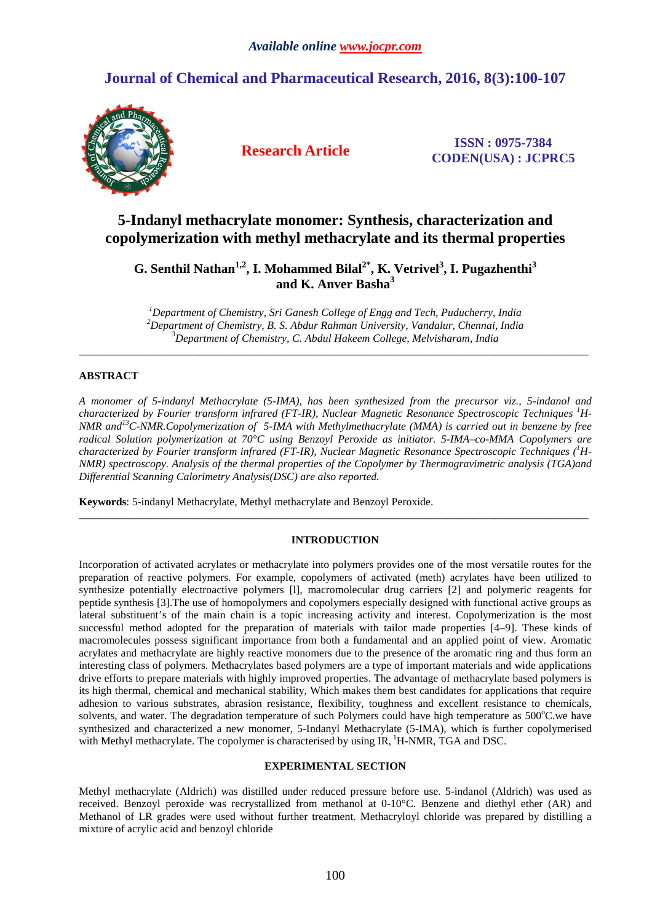# **Journal of Chemical and Pharmaceutical Research, 2016, 8(3):100-107**



**Research Article ISSN : 0975-7384 CODEN(USA) : JCPRC5**

# **5-Indanyl methacrylate monomer: Synthesis, characterization and copolymerization with methyl methacrylate and its thermal properties**

# **G. Senthil Nathan1,2, I. Mohammed Bilal2\*, K. Vetrivel<sup>3</sup> , I. Pugazhenthi<sup>3</sup> and K. Anver Basha<sup>3</sup>**

*<sup>1</sup>Department of Chemistry, Sri Ganesh College of Engg and Tech, Puducherry, India <sup>2</sup>Department of Chemistry, B. S. Abdur Rahman University, Vandalur, Chennai, India <sup>3</sup>Department of Chemistry, C. Abdul Hakeem College, Melvisharam, India* 

\_\_\_\_\_\_\_\_\_\_\_\_\_\_\_\_\_\_\_\_\_\_\_\_\_\_\_\_\_\_\_\_\_\_\_\_\_\_\_\_\_\_\_\_\_\_\_\_\_\_\_\_\_\_\_\_\_\_\_\_\_\_\_\_\_\_\_\_\_\_\_\_\_\_\_\_\_\_\_\_\_\_\_\_\_\_\_\_\_\_\_\_\_

# **ABSTRACT**

*A monomer of 5-indanyl Methacrylate (5-IMA), has been synthesized from the precursor viz., 5-indanol and characterized by Fourier transform infrared (FT-IR), Nuclear Magnetic Resonance Spectroscopic Techniques <sup>1</sup>H-NMR and<sup>13</sup>C-NMR.Copolymerization of 5-IMA with Methylmethacrylate (MMA) is carried out in benzene by free radical Solution polymerization at 70°C using Benzoyl Peroxide as initiator. 5-IMA–co-MMA Copolymers are characterized by Fourier transform infrared (FT-IR), Nuclear Magnetic Resonance Spectroscopic Techniques (<sup>1</sup>H-NMR) spectroscopy. Analysis of the thermal properties of the Copolymer by Thermogravimetric analysis (TGA)and Differential Scanning Calorimetry Analysis(DSC) are also reported.* 

**Keywords**: 5-indanyl Methacrylate, Methyl methacrylate and Benzoyl Peroxide.

# **INTRODUCTION**

\_\_\_\_\_\_\_\_\_\_\_\_\_\_\_\_\_\_\_\_\_\_\_\_\_\_\_\_\_\_\_\_\_\_\_\_\_\_\_\_\_\_\_\_\_\_\_\_\_\_\_\_\_\_\_\_\_\_\_\_\_\_\_\_\_\_\_\_\_\_\_\_\_\_\_\_\_\_\_\_\_\_\_\_\_\_\_\_\_\_\_\_\_

Incorporation of activated acrylates or methacrylate into polymers provides one of the most versatile routes for the preparation of reactive polymers. For example, copolymers of activated (meth) acrylates have been utilized to synthesize potentially electroactive polymers [l], macromolecular drug carriers [2] and polymeric reagents for peptide synthesis [3].The use of homopolymers and copolymers especially designed with functional active groups as lateral substituent's of the main chain is a topic increasing activity and interest. Copolymerization is the most successful method adopted for the preparation of materials with tailor made properties [4–9]. These kinds of macromolecules possess significant importance from both a fundamental and an applied point of view. Aromatic acrylates and methacrylate are highly reactive monomers due to the presence of the aromatic ring and thus form an interesting class of polymers. Methacrylates based polymers are a type of important materials and wide applications drive efforts to prepare materials with highly improved properties. The advantage of methacrylate based polymers is its high thermal, chemical and mechanical stability, Which makes them best candidates for applications that require adhesion to various substrates, abrasion resistance, flexibility, toughness and excellent resistance to chemicals, solvents, and water. The degradation temperature of such Polymers could have high temperature as  $500^{\circ}$ C.we have synthesized and characterized a new monomer, 5-Indanyl Methacrylate (5-IMA), which is further copolymerised with Methyl methacrylate. The copolymer is characterised by using IR,  ${}^{1}$ H-NMR, TGA and DSC.

# **EXPERIMENTAL SECTION**

Methyl methacrylate (Aldrich) was distilled under reduced pressure before use. 5-indanol (Aldrich) was used as received. Benzoyl peroxide was recrystallized from methanol at 0-10°C. Benzene and diethyl ether (AR) and Methanol of LR grades were used without further treatment. Methacryloyl chloride was prepared by distilling a mixture of acrylic acid and benzoyl chloride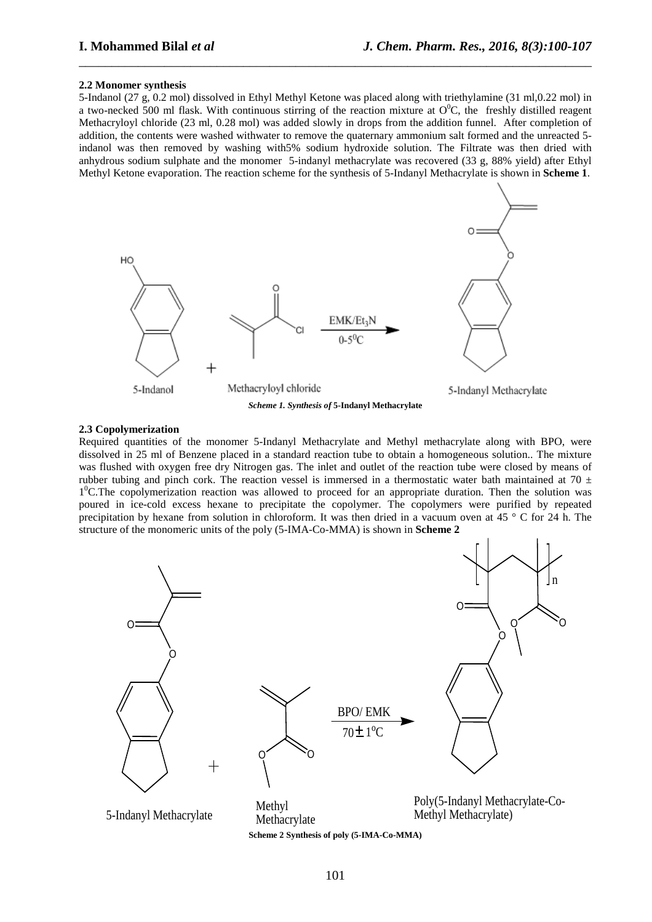#### **2.2 Monomer synthesis**

5-Indanol (27 g, 0.2 mol) dissolved in Ethyl Methyl Ketone was placed along with triethylamine (31 ml,0.22 mol) in a two-necked 500 ml flask. With continuous stirring of the reaction mixture at  $O^0C$ , the freshly distilled reagent Methacryloyl chloride (23 ml, 0.28 mol) was added slowly in drops from the addition funnel. After completion of addition, the contents were washed withwater to remove the quaternary ammonium salt formed and the unreacted 5 indanol was then removed by washing with5% sodium hydroxide solution. The Filtrate was then dried with anhydrous sodium sulphate and the monomer 5-indanyl methacrylate was recovered (33 g, 88% yield) after Ethyl Methyl Ketone evaporation. The reaction scheme for the synthesis of 5-Indanyl Methacrylate is shown in **Scheme 1**.

\_\_\_\_\_\_\_\_\_\_\_\_\_\_\_\_\_\_\_\_\_\_\_\_\_\_\_\_\_\_\_\_\_\_\_\_\_\_\_\_\_\_\_\_\_\_\_\_\_\_\_\_\_\_\_\_\_\_\_\_\_\_\_\_\_\_\_\_\_\_\_\_\_\_\_\_\_\_



### **2.3 Copolymerization**

Required quantities of the monomer 5-Indanyl Methacrylate and Methyl methacrylate along with BPO, were dissolved in 25 ml of Benzene placed in a standard reaction tube to obtain a homogeneous solution.. The mixture was flushed with oxygen free dry Nitrogen gas. The inlet and outlet of the reaction tube were closed by means of rubber tubing and pinch cork. The reaction vessel is immersed in a thermostatic water bath maintained at 70  $\pm$ 1<sup>0</sup>C.The copolymerization reaction was allowed to proceed for an appropriate duration. Then the solution was poured in ice-cold excess hexane to precipitate the copolymer. The copolymers were purified by repeated precipitation by hexane from solution in chloroform. It was then dried in a vacuum oven at 45 ° C for 24 h. The structure of the monomeric units of the poly (5-IMA-Co-MMA) is shown in **Scheme 2** 



**Scheme 2 Synthesis of poly (5-IMA-Co-MMA)**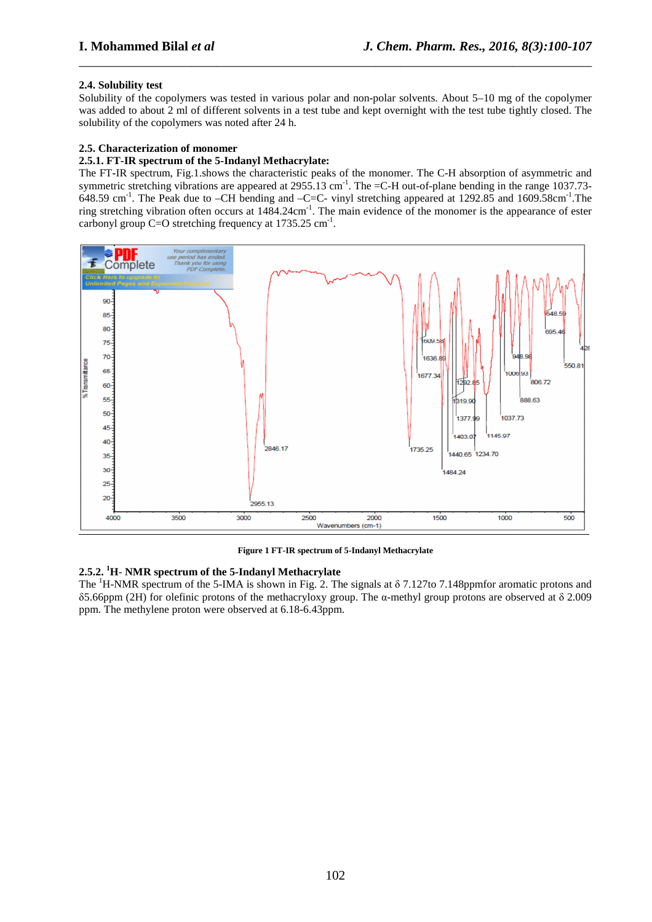# **2.4. Solubility test**

Solubility of the copolymers was tested in various polar and non-polar solvents. About 5–10 mg of the copolymer was added to about 2 ml of different solvents in a test tube and kept overnight with the test tube tightly closed. The solubility of the copolymers was noted after 24 h.

\_\_\_\_\_\_\_\_\_\_\_\_\_\_\_\_\_\_\_\_\_\_\_\_\_\_\_\_\_\_\_\_\_\_\_\_\_\_\_\_\_\_\_\_\_\_\_\_\_\_\_\_\_\_\_\_\_\_\_\_\_\_\_\_\_\_\_\_\_\_\_\_\_\_\_\_\_\_

### **2.5. Characterization of monomer**

### **2.5.1. FT-IR spectrum of the 5-Indanyl Methacrylate:**

The FT**-**IR spectrum, Fig.1.shows the characteristic peaks of the monomer. The C-H absorption of asymmetric and symmetric stretching vibrations are appeared at  $2955.13$  cm<sup>-1</sup>. The =C-H out-of-plane bending in the range 1037.73- $648.59$  cm<sup>-1</sup>. The Peak due to –CH bending and –C=C- vinyl stretching appeared at 1292.85 and 1609.58cm<sup>-1</sup>. The ring stretching vibration often occurs at  $1484.24 \text{cm}^{-1}$ . The main evidence of the monomer is the appearance of ester carbonyl group C=O stretching frequency at  $1735.25 \text{ cm}^{-1}$ .



**Figure 1 FT-IR spectrum of 5-Indanyl Methacrylate** 

### **2.5.2. <sup>1</sup>H**- **NMR spectrum of the 5-Indanyl Methacrylate**

The <sup>1</sup>H-NMR spectrum of the 5-IMA is shown in Fig. 2. The signals at δ 7.127to 7.148ppmfor aromatic protons and δ5.66ppm (2H) for olefinic protons of the methacryloxy group. The α-methyl group protons are observed at δ 2.009 ppm. The methylene proton were observed at 6.18-6.43ppm.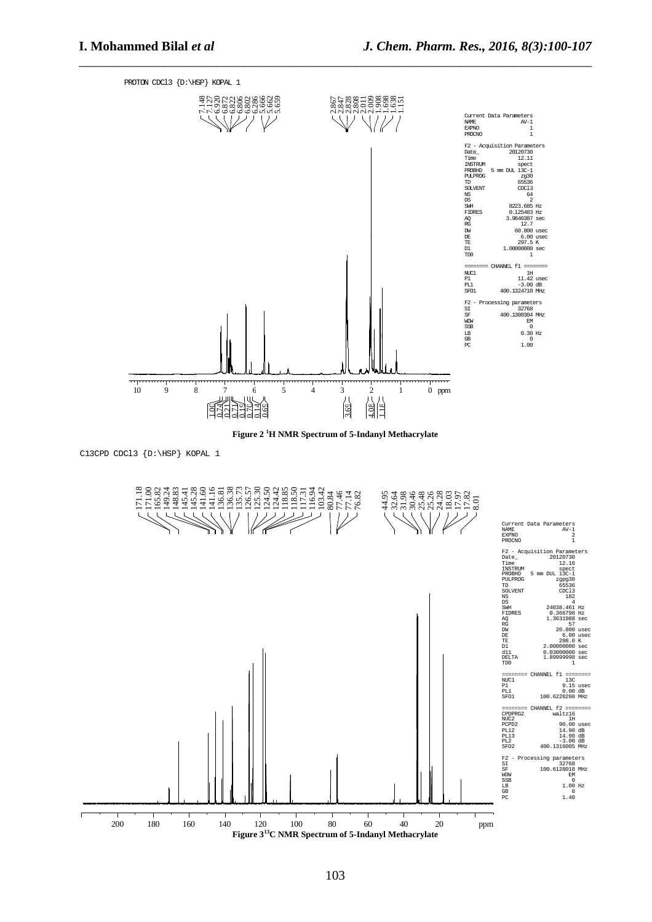

\_\_\_\_\_\_\_\_\_\_\_\_\_\_\_\_\_\_\_\_\_\_\_\_\_\_\_\_\_\_\_\_\_\_\_\_\_\_\_\_\_\_\_\_\_\_\_\_\_\_\_\_\_\_\_\_\_\_\_\_\_\_\_\_\_\_\_\_\_\_\_\_\_\_\_\_\_\_

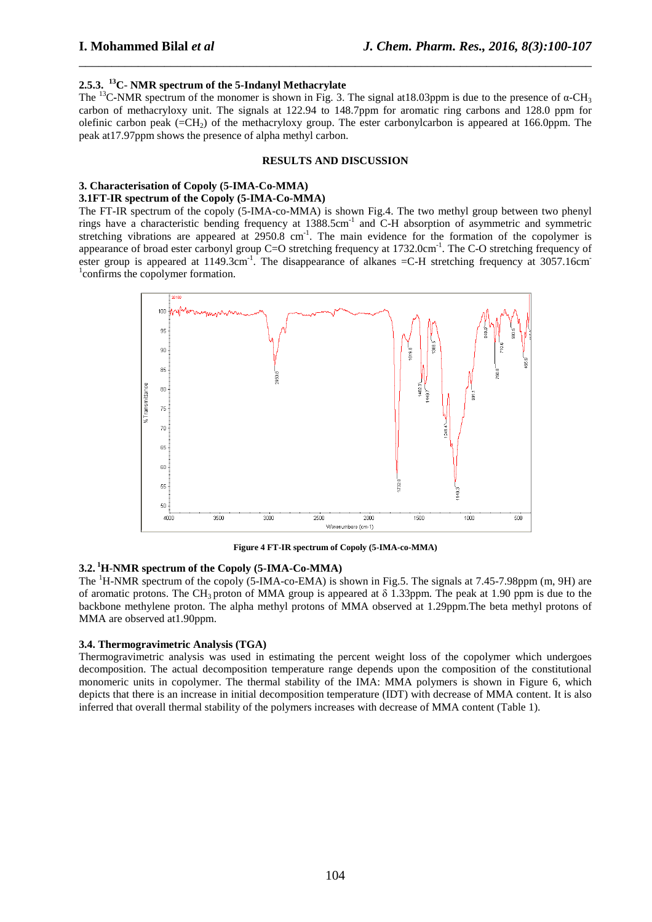# **2.5.3.<sup>13</sup>C**- **NMR spectrum of the 5-Indanyl Methacrylate**

The <sup>13</sup>C**-**NMR spectrum of the monomer is shown in Fig. 3. The signal at18.03ppm is due to the presence of α-CH<sup>3</sup> carbon of methacryloxy unit. The signals at 122.94 to 148.7ppm for aromatic ring carbons and 128.0 ppm for olefinic carbon peak  $(=CH<sub>2</sub>)$  of the methacryloxy group. The ester carbonylcarbon is appeared at 166.0ppm. The peak at17.97ppm shows the presence of alpha methyl carbon.

\_\_\_\_\_\_\_\_\_\_\_\_\_\_\_\_\_\_\_\_\_\_\_\_\_\_\_\_\_\_\_\_\_\_\_\_\_\_\_\_\_\_\_\_\_\_\_\_\_\_\_\_\_\_\_\_\_\_\_\_\_\_\_\_\_\_\_\_\_\_\_\_\_\_\_\_\_\_

### **RESULTS AND DISCUSSION**

# **3. Characterisation of Copoly (5-IMA-Co-MMA)**

# **3.1FT**-**IR spectrum of the Copoly (5-IMA-Co-MMA)**

The FT-IR spectrum of the copoly (5-IMA-co-MMA) is shown Fig.4. The two methyl group between two phenyl rings have a characteristic bending frequency at 1388.5cm-1 and C-H absorption of asymmetric and symmetric stretching vibrations are appeared at  $2950.8 \text{ cm}^{-1}$ . The main evidence for the formation of the copolymer is appearance of broad ester carbonyl group  $C=O$  stretching frequency at  $1732.0cm^{-1}$ . The C-O stretching frequency of ester group is appeared at  $1149.3 \text{cm}^{-1}$ . The disappearance of alkanes  $=$ C-H stretching frequency at 3057.16cm <sup>1</sup> confirms the copolymer formation.



**Figure 4 FT-IR spectrum of Copoly (5-IMA-co-MMA)** 

#### **3.2.<sup>1</sup>H**-**NMR spectrum of the Copoly (5-IMA-Co-MMA)**

The <sup>1</sup>H-NMR spectrum of the copoly (5-IMA-co-EMA) is shown in Fig.5. The signals at 7.45-7.98ppm (m, 9H) are of aromatic protons. The CH<sub>3</sub> proton of MMA group is appeared at  $\delta$  1.33ppm. The peak at 1.90 ppm is due to the backbone methylene proton. The alpha methyl protons of MMA observed at 1.29ppm.The beta methyl protons of MMA are observed at1.90ppm.

#### **3.4. Thermogravimetric Analysis (TGA)**

Thermogravimetric analysis was used in estimating the percent weight loss of the copolymer which undergoes decomposition. The actual decomposition temperature range depends upon the composition of the constitutional monomeric units in copolymer. The thermal stability of the IMA: MMA polymers is shown in Figure 6, which depicts that there is an increase in initial decomposition temperature (IDT) with decrease of MMA content. It is also inferred that overall thermal stability of the polymers increases with decrease of MMA content (Table 1).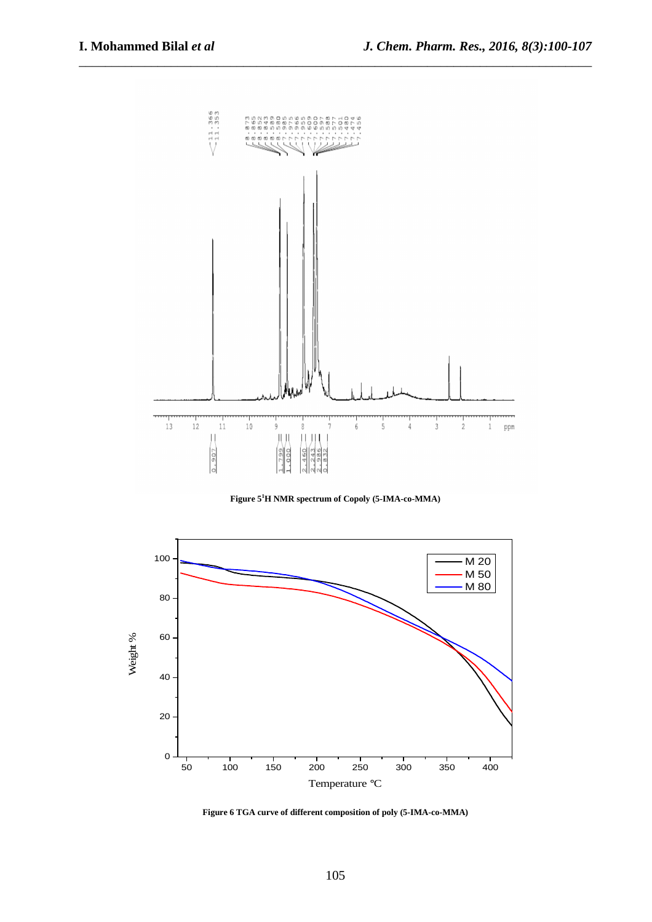

\_\_\_\_\_\_\_\_\_\_\_\_\_\_\_\_\_\_\_\_\_\_\_\_\_\_\_\_\_\_\_\_\_\_\_\_\_\_\_\_\_\_\_\_\_\_\_\_\_\_\_\_\_\_\_\_\_\_\_\_\_\_\_\_\_\_\_\_\_\_\_\_\_\_\_\_\_\_

**Figure 5<sup>1</sup>H NMR spectrum of Copoly (5-IMA-co-MMA)** 



**Figure 6 TGA curve of different composition of poly (5-IMA-co-MMA)**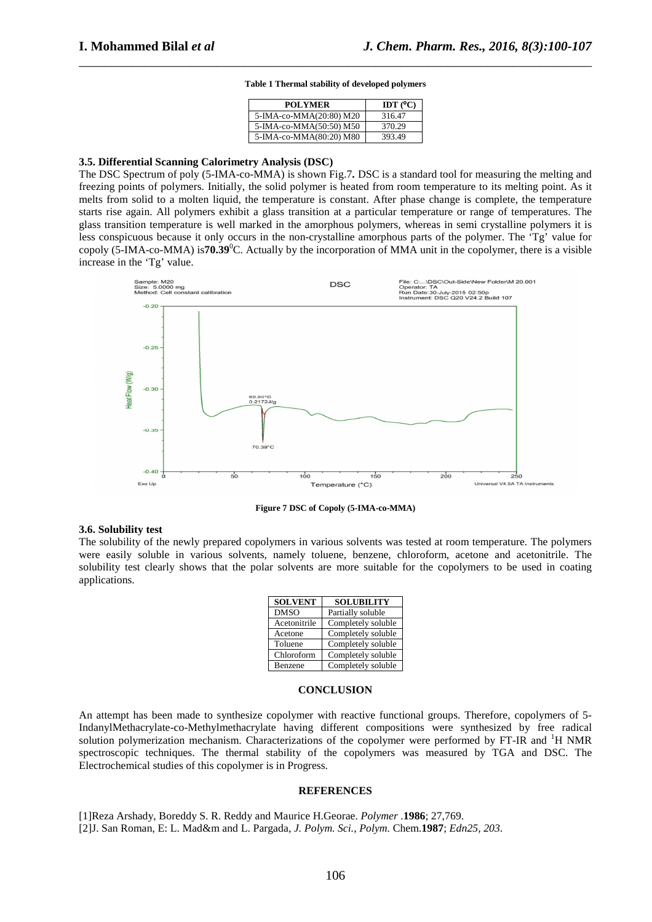### **Table 1 Thermal stability of developed polymers**

\_\_\_\_\_\_\_\_\_\_\_\_\_\_\_\_\_\_\_\_\_\_\_\_\_\_\_\_\_\_\_\_\_\_\_\_\_\_\_\_\_\_\_\_\_\_\_\_\_\_\_\_\_\_\_\_\_\_\_\_\_\_\_\_\_\_\_\_\_\_\_\_\_\_\_\_\_\_

| <b>POLYMER</b>          | IDT $(C)$ |
|-------------------------|-----------|
| 5-IMA-co-MMA(20:80) M20 | 316.47    |
| 5-IMA-co-MMA(50:50) M50 | 370.29    |
| 5-IMA-co-MMA(80:20) M80 | 393.49    |

#### **3.5. Differential Scanning Calorimetry Analysis (DSC)**

The DSC Spectrum of poly (5-IMA-co-MMA) is shown Fig.7**.** DSC is a standard tool for measuring the melting and freezing points of polymers. Initially, the solid polymer is heated from room temperature to its melting point. As it melts from solid to a molten liquid, the temperature is constant. After phase change is complete, the temperature starts rise again. All polymers exhibit a glass transition at a particular temperature or range of temperatures. The glass transition temperature is well marked in the amorphous polymers, whereas in semi crystalline polymers it is less conspicuous because it only occurs in the non-crystalline amorphous parts of the polymer. The 'Tg' value for copoly (5-IMA-co-MMA) is**70.39**<sup>0</sup>C. Actually by the incorporation of MMA unit in the copolymer, there is a visible increase in the 'Tg' value.



**Figure 7 DSC of Copoly (5-IMA-co-MMA)** 

#### **3.6. Solubility test**

The solubility of the newly prepared copolymers in various solvents was tested at room temperature. The polymers were easily soluble in various solvents, namely toluene, benzene, chloroform, acetone and acetonitrile. The solubility test clearly shows that the polar solvents are more suitable for the copolymers to be used in coating applications.

| <b>SOLVENT</b> | <b>SOLUBILITY</b>  |
|----------------|--------------------|
| <b>DMSO</b>    | Partially soluble  |
| Acetonitrile   | Completely soluble |
| Acetone        | Completely soluble |
| Toluene        | Completely soluble |
| Chloroform     | Completely soluble |
| Benzene        | Completely soluble |

#### **CONCLUSION**

An attempt has been made to synthesize copolymer with reactive functional groups. Therefore, copolymers of 5- IndanylMethacrylate-co-Methylmethacrylate having different compositions were synthesized by free radical solution polymerization mechanism. Characterizations of the copolymer were performed by FT-IR and <sup>1</sup>H NMR spectroscopic techniques. The thermal stability of the copolymers was measured by TGA and DSC. The Electrochemical studies of this copolymer is in Progress.

#### **REFERENCES**

[1]Reza Arshady, Boreddy S. R. Reddy and Maurice H.Georae. *Polymer* .**1986**; 27,769. [2]J. San Roman, E: L. Mad&m and L. Pargada, *J. Polym. Sci., Polym.* Chem.**1987**; *Edn25, 203*.